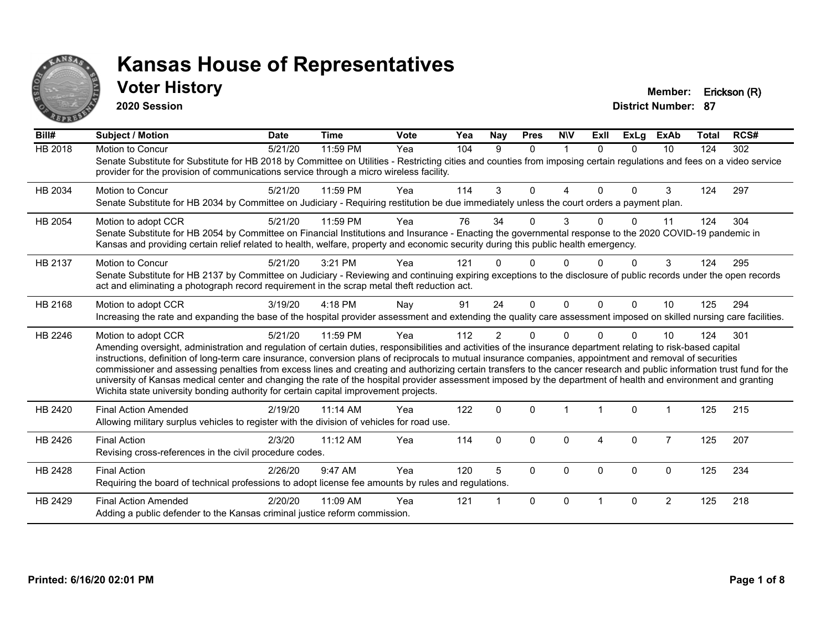

### **Voter History Member: Erickson (R)**

**2020 Session**

| Bill#          | Subject / Motion                                                                                                                                                                                                                                                                                                                                                                                                                                                                                                                                                                                                                                                                                                                                                                         | <b>Date</b> | <b>Time</b> | <b>Vote</b> | Yea | Nay            | <b>Pres</b> | <b>NIV</b>  | ExII     | <b>ExLg</b> | <b>ExAb</b>    | <b>Total</b> | RCS# |
|----------------|------------------------------------------------------------------------------------------------------------------------------------------------------------------------------------------------------------------------------------------------------------------------------------------------------------------------------------------------------------------------------------------------------------------------------------------------------------------------------------------------------------------------------------------------------------------------------------------------------------------------------------------------------------------------------------------------------------------------------------------------------------------------------------------|-------------|-------------|-------------|-----|----------------|-------------|-------------|----------|-------------|----------------|--------------|------|
| <b>HB 2018</b> | Motion to Concur<br>Senate Substitute for Substitute for HB 2018 by Committee on Utilities - Restricting cities and counties from imposing certain regulations and fees on a video service<br>provider for the provision of communications service through a micro wireless facility.                                                                                                                                                                                                                                                                                                                                                                                                                                                                                                    | 5/21/20     | 11:59 PM    | Yea         | 104 | 9              | $\Omega$    | $\mathbf 1$ | $\Omega$ | $\Omega$    | 10             | 124          | 302  |
| HB 2034        | <b>Motion to Concur</b><br>Senate Substitute for HB 2034 by Committee on Judiciary - Requiring restitution be due immediately unless the court orders a payment plan.                                                                                                                                                                                                                                                                                                                                                                                                                                                                                                                                                                                                                    | 5/21/20     | 11:59 PM    | Yea         | 114 | 3              | $\Omega$    | 4           | $\Omega$ | $\Omega$    | 3              | 124          | 297  |
| HB 2054        | Motion to adopt CCR<br>Senate Substitute for HB 2054 by Committee on Financial Institutions and Insurance - Enacting the governmental response to the 2020 COVID-19 pandemic in<br>Kansas and providing certain relief related to health, welfare, property and economic security during this public health emergency.                                                                                                                                                                                                                                                                                                                                                                                                                                                                   | 5/21/20     | 11:59 PM    | Yea         | 76  | 34             | 0           | 3           |          | $\Omega$    | 11             | 124          | 304  |
| HB 2137        | Motion to Concur<br>Senate Substitute for HB 2137 by Committee on Judiciary - Reviewing and continuing expiring exceptions to the disclosure of public records under the open records<br>act and eliminating a photograph record requirement in the scrap metal theft reduction act.                                                                                                                                                                                                                                                                                                                                                                                                                                                                                                     | 5/21/20     | 3:21 PM     | Yea         | 121 |                |             |             |          | U           | 3              | 124          | 295  |
| HB 2168        | Motion to adopt CCR<br>Increasing the rate and expanding the base of the hospital provider assessment and extending the quality care assessment imposed on skilled nursing care facilities.                                                                                                                                                                                                                                                                                                                                                                                                                                                                                                                                                                                              | 3/19/20     | 4:18 PM     | Nay         | 91  | 24             | $\Omega$    | $\Omega$    | $\Omega$ | $\Omega$    | 10             | 125          | 294  |
| HB 2246        | Motion to adopt CCR<br>Amending oversight, administration and regulation of certain duties, responsibilities and activities of the insurance department relating to risk-based capital<br>instructions, definition of long-term care insurance, conversion plans of reciprocals to mutual insurance companies, appointment and removal of securities<br>commissioner and assessing penalties from excess lines and creating and authorizing certain transfers to the cancer research and public information trust fund for the<br>university of Kansas medical center and changing the rate of the hospital provider assessment imposed by the department of health and environment and granting<br>Wichita state university bonding authority for certain capital improvement projects. | 5/21/20     | 11:59 PM    | Yea         | 112 | $\overline{2}$ | 0           | $\Omega$    |          | $\Omega$    | 10             | 124          | 301  |
| HB 2420        | <b>Final Action Amended</b><br>Allowing military surplus vehicles to register with the division of vehicles for road use.                                                                                                                                                                                                                                                                                                                                                                                                                                                                                                                                                                                                                                                                | 2/19/20     | 11:14 AM    | Yea         | 122 | $\Omega$       | $\Omega$    |             |          | $\Omega$    |                | 125          | 215  |
| HB 2426        | <b>Final Action</b><br>Revising cross-references in the civil procedure codes.                                                                                                                                                                                                                                                                                                                                                                                                                                                                                                                                                                                                                                                                                                           | 2/3/20      | $11:12$ AM  | Yea         | 114 | $\Omega$       | $\Omega$    | $\Omega$    | 4        | $\mathbf 0$ | $\overline{7}$ | 125          | 207  |
| HB 2428        | <b>Final Action</b><br>Requiring the board of technical professions to adopt license fee amounts by rules and regulations.                                                                                                                                                                                                                                                                                                                                                                                                                                                                                                                                                                                                                                                               | 2/26/20     | 9:47 AM     | Yea         | 120 | 5              | $\Omega$    | $\Omega$    | $\Omega$ | $\Omega$    | $\mathbf{0}$   | 125          | 234  |
| HB 2429        | <b>Final Action Amended</b><br>Adding a public defender to the Kansas criminal justice reform commission.                                                                                                                                                                                                                                                                                                                                                                                                                                                                                                                                                                                                                                                                                | 2/20/20     | 11:09 AM    | Yea         | 121 |                | $\Omega$    | $\Omega$    |          | $\Omega$    | $\overline{2}$ | 125          | 218  |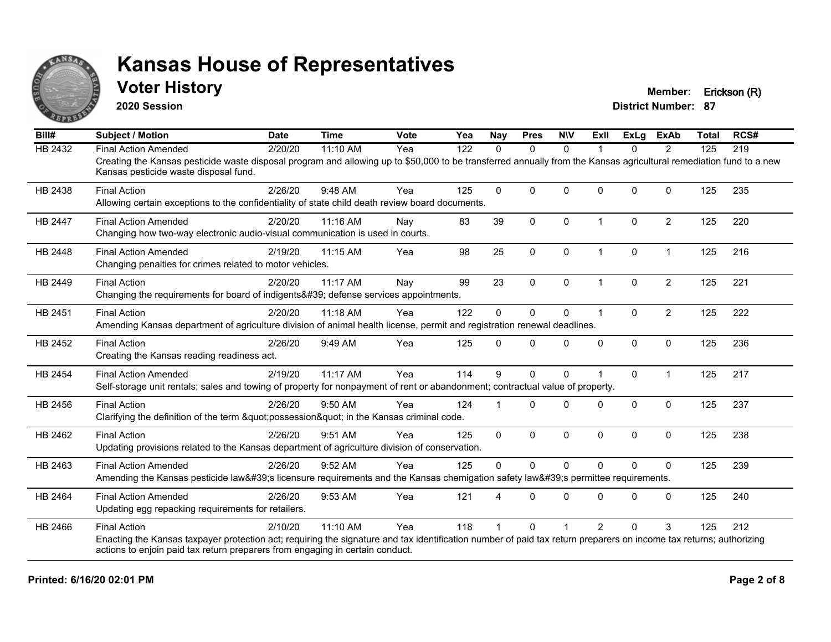

### **Voter History Member: Erickson (R)**

**2020 Session**

| Bill#          | <b>Subject / Motion</b>                                                                                                                                                                                     | <b>Date</b> | <b>Time</b> | <b>Vote</b> | Yea | <b>Nay</b>   | <b>Pres</b>  | <b>NIV</b>   | <b>Exll</b>             | ExLg     | <b>ExAb</b>    | <b>Total</b> | RCS# |
|----------------|-------------------------------------------------------------------------------------------------------------------------------------------------------------------------------------------------------------|-------------|-------------|-------------|-----|--------------|--------------|--------------|-------------------------|----------|----------------|--------------|------|
| HB 2432        | <b>Final Action Amended</b>                                                                                                                                                                                 | 2/20/20     | 11:10 AM    | Yea         | 122 | 0            | 0            | $\mathbf{0}$ |                         | 0        | 2              | 125          | 219  |
|                | Creating the Kansas pesticide waste disposal program and allowing up to \$50,000 to be transferred annually from the Kansas agricultural remediation fund to a new<br>Kansas pesticide waste disposal fund. |             |             |             |     |              |              |              |                         |          |                |              |      |
| HB 2438        | <b>Final Action</b>                                                                                                                                                                                         | 2/26/20     | 9:48 AM     | Yea         | 125 | $\Omega$     | $\Omega$     | $\Omega$     | $\Omega$                | $\Omega$ | 0              | 125          | 235  |
|                | Allowing certain exceptions to the confidentiality of state child death review board documents.                                                                                                             |             |             |             |     |              |              |              |                         |          |                |              |      |
| <b>HB 2447</b> | <b>Final Action Amended</b>                                                                                                                                                                                 | 2/20/20     | 11:16 AM    | Nay         | 83  | 39           | $\Omega$     | $\mathbf 0$  | $\overline{\mathbf{1}}$ | $\Omega$ | $\overline{2}$ | 125          | 220  |
|                | Changing how two-way electronic audio-visual communication is used in courts.                                                                                                                               |             |             |             |     |              |              |              |                         |          |                |              |      |
| HB 2448        | <b>Final Action Amended</b>                                                                                                                                                                                 | 2/19/20     | 11:15 AM    | Yea         | 98  | 25           | $\pmb{0}$    | 0            | $\overline{\mathbf{1}}$ | 0        | $\mathbf 1$    | 125          | 216  |
|                | Changing penalties for crimes related to motor vehicles.                                                                                                                                                    |             |             |             |     |              |              |              |                         |          |                |              |      |
| HB 2449        | <b>Final Action</b>                                                                                                                                                                                         | 2/20/20     | $11:17$ AM  | Nay         | 99  | 23           | $\Omega$     | $\mathbf 0$  |                         | $\Omega$ | $\overline{c}$ | 125          | 221  |
|                | Changing the requirements for board of indigents' defense services appointments.                                                                                                                            |             |             |             |     |              |              |              |                         |          |                |              |      |
| HB 2451        | <b>Final Action</b>                                                                                                                                                                                         | 2/20/20     | 11:18 AM    | Yea         | 122 | $\Omega$     | $\mathbf 0$  | 0            | 1                       | $\Omega$ | $\overline{2}$ | 125          | 222  |
|                | Amending Kansas department of agriculture division of animal health license, permit and registration renewal deadlines.                                                                                     |             |             |             |     |              |              |              |                         |          |                |              |      |
| HB 2452        | <b>Final Action</b>                                                                                                                                                                                         | 2/26/20     | 9:49 AM     | Yea         | 125 | $\Omega$     | $\Omega$     | $\mathbf{0}$ | $\Omega$                | $\Omega$ | $\mathbf 0$    | 125          | 236  |
|                | Creating the Kansas reading readiness act.                                                                                                                                                                  |             |             |             |     |              |              |              |                         |          |                |              |      |
| HB 2454        | <b>Final Action Amended</b>                                                                                                                                                                                 | 2/19/20     | 11:17 AM    | Yea         | 114 | 9            | $\mathbf{0}$ | $\mathbf 0$  |                         | $\Omega$ |                | 125          | 217  |
|                | Self-storage unit rentals; sales and towing of property for nonpayment of rent or abandonment; contractual value of property.                                                                               |             |             |             |     |              |              |              |                         |          |                |              |      |
| HB 2456        | <b>Final Action</b>                                                                                                                                                                                         | 2/26/20     | $9:50$ AM   | Yea         | 124 |              | $\Omega$     | $\Omega$     | 0                       | $\Omega$ | $\Omega$       | 125          | 237  |
|                | Clarifying the definition of the term "possession" in the Kansas criminal code.                                                                                                                             |             |             |             |     |              |              |              |                         |          |                |              |      |
| HB 2462        | <b>Final Action</b>                                                                                                                                                                                         | 2/26/20     | 9:51 AM     | Yea         | 125 | $\mathbf{0}$ | $\mathbf 0$  | $\mathbf 0$  | $\Omega$                | $\Omega$ | $\mathbf 0$    | 125          | 238  |
|                | Updating provisions related to the Kansas department of agriculture division of conservation.                                                                                                               |             |             |             |     |              |              |              |                         |          |                |              |      |
| HB 2463        | <b>Final Action Amended</b>                                                                                                                                                                                 | 2/26/20     | 9:52 AM     | Yea         | 125 | $\Omega$     | $\mathbf 0$  | $\mathbf{0}$ | $\Omega$                | $\Omega$ | $\Omega$       | 125          | 239  |
|                | Amending the Kansas pesticide law's licensure requirements and the Kansas chemigation safety law's permittee requirements.                                                                                  |             |             |             |     |              |              |              |                         |          |                |              |      |
| HB 2464        | <b>Final Action Amended</b>                                                                                                                                                                                 | 2/26/20     | 9:53 AM     | Yea         | 121 | 4            | $\Omega$     | $\Omega$     | $\Omega$                | $\Omega$ | $\Omega$       | 125          | 240  |
|                | Updating egg repacking requirements for retailers.                                                                                                                                                          |             |             |             |     |              |              |              |                         |          |                |              |      |
| HB 2466        | <b>Final Action</b>                                                                                                                                                                                         | 2/10/20     | 11:10 AM    | Yea         | 118 |              | $\Omega$     |              | $\overline{2}$          | $\Omega$ | 3              | 125          | 212  |
|                | Enacting the Kansas taxpayer protection act; requiring the signature and tax identification number of paid tax return preparers on income tax returns; authorizing                                          |             |             |             |     |              |              |              |                         |          |                |              |      |
|                | actions to enjoin paid tax return preparers from engaging in certain conduct.                                                                                                                               |             |             |             |     |              |              |              |                         |          |                |              |      |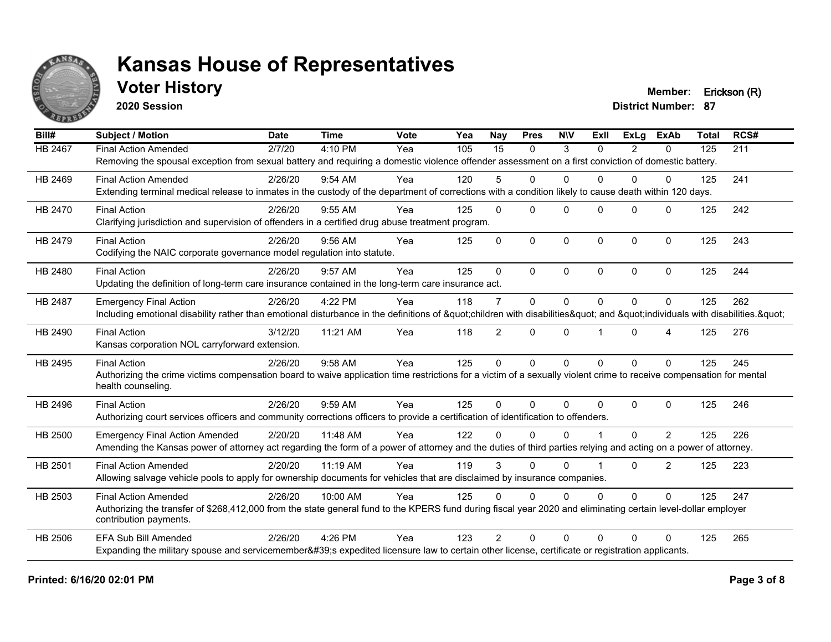

## **Voter History Member: Erickson (R)**

**2020 Session**

| Bill#          | <b>Subject / Motion</b>                                                                                                                                             | <b>Date</b> | <b>Time</b> | Vote | Yea | <b>Nay</b>      | <b>Pres</b>  | <b>NIV</b>   | Exll     | ExLa         | <b>ExAb</b>      | <b>Total</b> | RCS# |
|----------------|---------------------------------------------------------------------------------------------------------------------------------------------------------------------|-------------|-------------|------|-----|-----------------|--------------|--------------|----------|--------------|------------------|--------------|------|
| <b>HB 2467</b> | <b>Final Action Amended</b>                                                                                                                                         | 2/7/20      | 4:10 PM     | Yea  | 105 | $\overline{15}$ | $\Omega$     | 3            | 0        | 2            | $\mathbf{0}$     | 125          | 211  |
|                | Removing the spousal exception from sexual battery and requiring a domestic violence offender assessment on a first conviction of domestic battery.                 |             |             |      |     |                 |              |              |          |              |                  |              |      |
| HB 2469        | <b>Final Action Amended</b>                                                                                                                                         | 2/26/20     | $9:54$ AM   | Yea  | 120 | 5               | $\Omega$     | $\Omega$     | 0        | $\Omega$     | $\Omega$         | 125          | 241  |
|                | Extending terminal medical release to inmates in the custody of the department of corrections with a condition likely to cause death within 120 days.               |             |             |      |     |                 |              |              |          |              |                  |              |      |
| HB 2470        | <b>Final Action</b>                                                                                                                                                 | 2/26/20     | 9:55 AM     | Yea  | 125 | $\Omega$        | $\Omega$     | $\Omega$     | $\Omega$ | $\Omega$     | $\Omega$         | 125          | 242  |
|                | Clarifying jurisdiction and supervision of offenders in a certified drug abuse treatment program.                                                                   |             |             |      |     |                 |              |              |          |              |                  |              |      |
| HB 2479        | <b>Final Action</b>                                                                                                                                                 | 2/26/20     | 9:56 AM     | Yea  | 125 | $\Omega$        | $\mathbf 0$  | 0            | $\Omega$ | $\mathbf{0}$ | $\mathbf 0$      | 125          | 243  |
|                | Codifying the NAIC corporate governance model regulation into statute.                                                                                              |             |             |      |     |                 |              |              |          |              |                  |              |      |
| HB 2480        | <b>Final Action</b>                                                                                                                                                 | 2/26/20     | 9:57 AM     | Yea  | 125 | $\Omega$        | $\Omega$     | $\Omega$     | $\Omega$ | $\Omega$     | $\Omega$         | 125          | 244  |
|                | Updating the definition of long-term care insurance contained in the long-term care insurance act.                                                                  |             |             |      |     |                 |              |              |          |              |                  |              |      |
| HB 2487        | <b>Emergency Final Action</b>                                                                                                                                       | 2/26/20     | 4:22 PM     | Yea  | 118 | $\overline{7}$  | $\mathbf{0}$ | $\Omega$     | $\Omega$ | $\Omega$     | $\Omega$         | 125          | 262  |
|                | Including emotional disability rather than emotional disturbance in the definitions of "children with disabilities" and "individuals with disabilities. "           |             |             |      |     |                 |              |              |          |              |                  |              |      |
| HB 2490        | <b>Final Action</b>                                                                                                                                                 | 3/12/20     | 11:21 AM    | Yea  | 118 | $\overline{2}$  | $\mathbf{0}$ | 0            |          | $\Omega$     | $\boldsymbol{4}$ | 125          | 276  |
|                | Kansas corporation NOL carryforward extension.                                                                                                                      |             |             |      |     |                 |              |              |          |              |                  |              |      |
| HB 2495        | <b>Final Action</b>                                                                                                                                                 | 2/26/20     | 9:58 AM     | Yea  | 125 | $\Omega$        | $\mathbf{0}$ | $\mathbf{0}$ | $\Omega$ | $\Omega$     | $\Omega$         | 125          | 245  |
|                | Authorizing the crime victims compensation board to waive application time restrictions for a victim of a sexually violent crime to receive compensation for mental |             |             |      |     |                 |              |              |          |              |                  |              |      |
|                | health counseling.                                                                                                                                                  |             |             |      |     |                 |              |              |          |              |                  |              |      |
| HB 2496        | <b>Final Action</b>                                                                                                                                                 | 2/26/20     | 9:59 AM     | Yea  | 125 | $\Omega$        | $\Omega$     | $\Omega$     | $\Omega$ | $\Omega$     | $\Omega$         | 125          | 246  |
|                | Authorizing court services officers and community corrections officers to provide a certification of identification to offenders.                                   |             |             |      |     |                 |              |              |          |              |                  |              |      |
| HB 2500        | <b>Emergency Final Action Amended</b>                                                                                                                               | 2/20/20     | 11:48 AM    | Yea  | 122 | $\Omega$        | $\Omega$     | $\Omega$     |          | $\Omega$     | 2                | 125          | 226  |
|                | Amending the Kansas power of attorney act regarding the form of a power of attorney and the duties of third parties relying and acting on a power of attorney.      |             |             |      |     |                 |              |              |          |              |                  |              |      |
| HB 2501        | <b>Final Action Amended</b>                                                                                                                                         | 2/20/20     | 11:19 AM    | Yea  | 119 | 3               | $\Omega$     | $\Omega$     |          | $\Omega$     | 2                | 125          | 223  |
|                | Allowing salvage vehicle pools to apply for ownership documents for vehicles that are disclaimed by insurance companies.                                            |             |             |      |     |                 |              |              |          |              |                  |              |      |
| HB 2503        | <b>Final Action Amended</b>                                                                                                                                         | 2/26/20     | 10:00 AM    | Yea  | 125 | $\Omega$        | $\Omega$     | $\Omega$     | 0        | $\Omega$     | $\Omega$         | 125          | 247  |
|                | Authorizing the transfer of \$268,412,000 from the state general fund to the KPERS fund during fiscal year 2020 and eliminating certain level-dollar employer       |             |             |      |     |                 |              |              |          |              |                  |              |      |
|                | contribution payments.                                                                                                                                              |             |             |      |     |                 |              |              |          |              |                  |              |      |
| <b>HB 2506</b> | <b>EFA Sub Bill Amended</b>                                                                                                                                         | 2/26/20     | 4:26 PM     | Yea  | 123 | $\mathfrak{D}$  | $\Omega$     | $\Omega$     | $\Omega$ | 0            | $\Omega$         | 125          | 265  |
|                | Expanding the military spouse and servicemember's expedited licensure law to certain other license, certificate or registration applicants.                         |             |             |      |     |                 |              |              |          |              |                  |              |      |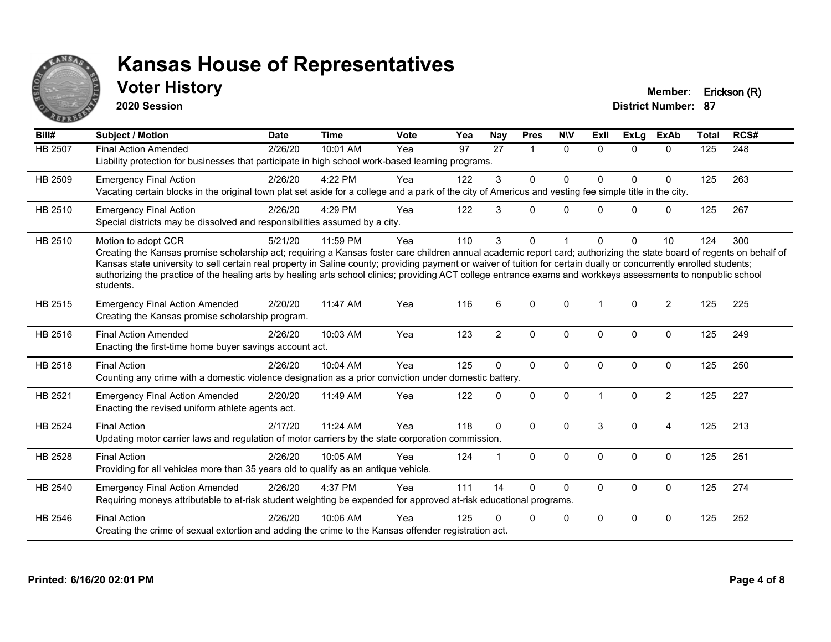

## **Voter History Member: Erickson (R)**

**2020 Session**

| Bill#          | Subject / Motion                                                                                                                                                                                                                                                                                                                                                                                                                                                                                                                                    | <b>Date</b> | <b>Time</b> | <b>Vote</b> | Yea | Nay            | <b>Pres</b>          | <b>NIV</b>   | ExIl                 | <b>ExLg</b> | <b>ExAb</b>    | <b>Total</b> | RCS# |
|----------------|-----------------------------------------------------------------------------------------------------------------------------------------------------------------------------------------------------------------------------------------------------------------------------------------------------------------------------------------------------------------------------------------------------------------------------------------------------------------------------------------------------------------------------------------------------|-------------|-------------|-------------|-----|----------------|----------------------|--------------|----------------------|-------------|----------------|--------------|------|
| HB 2507        | <b>Final Action Amended</b><br>Liability protection for businesses that participate in high school work-based learning programs.                                                                                                                                                                                                                                                                                                                                                                                                                    | 2/26/20     | 10:01 AM    | Yea         | 97  | 27             | $\blacktriangleleft$ | $\Omega$     | $\Omega$             | $\Omega$    | $\Omega$       | 125          | 248  |
| HB 2509        | <b>Emergency Final Action</b><br>Vacating certain blocks in the original town plat set aside for a college and a park of the city of Americus and vesting fee simple title in the city.                                                                                                                                                                                                                                                                                                                                                             | 2/26/20     | 4:22 PM     | Yea         | 122 | 3              | $\Omega$             | $\Omega$     | <sup>0</sup>         | $\Omega$    | $\mathbf{0}$   | 125          | 263  |
| HB 2510        | <b>Emergency Final Action</b><br>Special districts may be dissolved and responsibilities assumed by a city.                                                                                                                                                                                                                                                                                                                                                                                                                                         | 2/26/20     | 4:29 PM     | Yea         | 122 | 3              | $\Omega$             | $\Omega$     | $\Omega$             | $\Omega$    | $\mathbf 0$    | 125          | 267  |
| HB 2510        | Motion to adopt CCR<br>Creating the Kansas promise scholarship act; requiring a Kansas foster care children annual academic report card; authorizing the state board of regents on behalf of<br>Kansas state university to sell certain real property in Saline county; providing payment or waiver of tuition for certain dually or concurrently enrolled students;<br>authorizing the practice of the healing arts by healing arts school clinics; providing ACT college entrance exams and workkeys assessments to nonpublic school<br>students. | 5/21/20     | 11:59 PM    | Yea         | 110 | 3              | $\Omega$             |              | <sup>0</sup>         | $\Omega$    | 10             | 124          | 300  |
| HB 2515        | <b>Emergency Final Action Amended</b><br>Creating the Kansas promise scholarship program.                                                                                                                                                                                                                                                                                                                                                                                                                                                           | 2/20/20     | 11:47 AM    | Yea         | 116 | 6              | $\Omega$             | $\Omega$     | $\blacktriangleleft$ | $\Omega$    | $\overline{2}$ | 125          | 225  |
| HB 2516        | <b>Final Action Amended</b><br>Enacting the first-time home buyer savings account act.                                                                                                                                                                                                                                                                                                                                                                                                                                                              | 2/26/20     | 10:03 AM    | Yea         | 123 | $\overline{2}$ | $\mathbf{0}$         | $\Omega$     | $\Omega$             | $\Omega$    | $\mathbf{0}$   | 125          | 249  |
| HB 2518        | <b>Final Action</b><br>Counting any crime with a domestic violence designation as a prior conviction under domestic battery.                                                                                                                                                                                                                                                                                                                                                                                                                        | 2/26/20     | 10:04 AM    | Yea         | 125 | $\Omega$       | $\mathbf{0}$         | $\Omega$     | $\mathbf{0}$         | $\Omega$    | $\mathbf{0}$   | 125          | 250  |
| HB 2521        | <b>Emergency Final Action Amended</b><br>Enacting the revised uniform athlete agents act.                                                                                                                                                                                                                                                                                                                                                                                                                                                           | 2/20/20     | 11:49 AM    | Yea         | 122 | $\Omega$       | $\mathbf 0$          | $\mathbf 0$  |                      | $\Omega$    | $\overline{2}$ | 125          | 227  |
| <b>HB 2524</b> | <b>Final Action</b><br>Updating motor carrier laws and regulation of motor carriers by the state corporation commission.                                                                                                                                                                                                                                                                                                                                                                                                                            | 2/17/20     | 11:24 AM    | Yea         | 118 | $\mathbf{0}$   | $\Omega$             | $\Omega$     | 3                    | $\Omega$    | $\overline{4}$ | 125          | 213  |
| HB 2528        | <b>Final Action</b><br>Providing for all vehicles more than 35 years old to qualify as an antique vehicle.                                                                                                                                                                                                                                                                                                                                                                                                                                          | 2/26/20     | 10:05 AM    | Yea         | 124 |                | $\mathbf{0}$         | $\mathbf{0}$ | $\Omega$             | $\Omega$    | $\mathbf{0}$   | 125          | 251  |
| HB 2540        | <b>Emergency Final Action Amended</b><br>Requiring moneys attributable to at-risk student weighting be expended for approved at-risk educational programs.                                                                                                                                                                                                                                                                                                                                                                                          | 2/26/20     | 4:37 PM     | Yea         | 111 | 14             | $\Omega$             | $\Omega$     | 0                    | $\Omega$    | $\mathbf 0$    | 125          | 274  |
| HB 2546        | <b>Final Action</b><br>Creating the crime of sexual extortion and adding the crime to the Kansas offender registration act.                                                                                                                                                                                                                                                                                                                                                                                                                         | 2/26/20     | 10:06 AM    | Yea         | 125 |                | 0                    | $\mathbf 0$  | $\Omega$             | $\Omega$    | $\mathbf 0$    | 125          | 252  |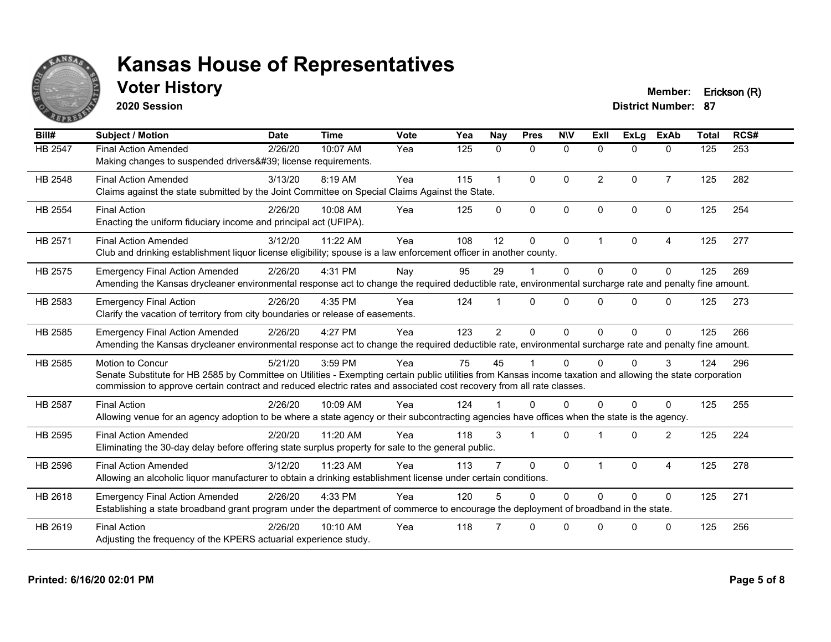

## **Voter History Member: Erickson (R)**

**2020 Session**

| Bill#          | <b>Subject / Motion</b>                                                                                                                                                                                                                                                                                         | <b>Date</b> | <b>Time</b> | Vote | Yea | <b>Nay</b>     | <b>Pres</b>  | <b>NIV</b>   | ExII           | ExLg         | <b>ExAb</b>    | <b>Total</b> | RCS# |
|----------------|-----------------------------------------------------------------------------------------------------------------------------------------------------------------------------------------------------------------------------------------------------------------------------------------------------------------|-------------|-------------|------|-----|----------------|--------------|--------------|----------------|--------------|----------------|--------------|------|
| HB 2547        | <b>Final Action Amended</b><br>Making changes to suspended drivers' license requirements.                                                                                                                                                                                                                       | 2/26/20     | 10:07 AM    | Yea  | 125 | $\mathbf{0}$   | $\mathbf{0}$ | $\mathbf{0}$ | $\mathbf{0}$   | $\Omega$     | $\mathbf{0}$   | 125          | 253  |
| HB 2548        | <b>Final Action Amended</b><br>Claims against the state submitted by the Joint Committee on Special Claims Against the State.                                                                                                                                                                                   | 3/13/20     | 8:19 AM     | Yea  | 115 |                | $\mathbf{0}$ | $\Omega$     | $\overline{2}$ | $\Omega$     | $\overline{7}$ | 125          | 282  |
| <b>HB 2554</b> | <b>Final Action</b><br>Enacting the uniform fiduciary income and principal act (UFIPA).                                                                                                                                                                                                                         | 2/26/20     | 10:08 AM    | Yea  | 125 | $\Omega$       | $\Omega$     | $\mathbf{0}$ | $\Omega$       | $\Omega$     | $\mathbf{0}$   | 125          | 254  |
| HB 2571        | <b>Final Action Amended</b><br>Club and drinking establishment liquor license eligibility; spouse is a law enforcement officer in another county.                                                                                                                                                               | 3/12/20     | 11:22 AM    | Yea  | 108 | 12             | $\mathbf{0}$ | $\mathbf{0}$ | 1              | $\mathbf{0}$ | 4              | 125          | 277  |
| HB 2575        | <b>Emergency Final Action Amended</b><br>Amending the Kansas drycleaner environmental response act to change the required deductible rate, environmental surcharge rate and penalty fine amount.                                                                                                                | 2/26/20     | 4:31 PM     | Nay  | 95  | 29             |              | $\Omega$     | $\Omega$       | $\Omega$     | $\Omega$       | 125          | 269  |
| HB 2583        | <b>Emergency Final Action</b><br>Clarify the vacation of territory from city boundaries or release of easements.                                                                                                                                                                                                | 2/26/20     | 4:35 PM     | Yea  | 124 |                | $\Omega$     | $\Omega$     | $\Omega$       | $\Omega$     | $\Omega$       | 125          | 273  |
| HB 2585        | <b>Emergency Final Action Amended</b><br>Amending the Kansas drycleaner environmental response act to change the required deductible rate, environmental surcharge rate and penalty fine amount.                                                                                                                | 2/26/20     | 4:27 PM     | Yea  | 123 | $\overline{2}$ | $\mathbf{0}$ | $\Omega$     | 0              | $\Omega$     | $\Omega$       | 125          | 266  |
| HB 2585        | <b>Motion to Concur</b><br>Senate Substitute for HB 2585 by Committee on Utilities - Exempting certain public utilities from Kansas income taxation and allowing the state corporation<br>commission to approve certain contract and reduced electric rates and associated cost recovery from all rate classes. | 5/21/20     | 3:59 PM     | Yea  | 75  | 45             |              | $\Omega$     | 0              | <sup>0</sup> | 3              | 124          | 296  |
| <b>HB 2587</b> | <b>Final Action</b><br>Allowing venue for an agency adoption to be where a state agency or their subcontracting agencies have offices when the state is the agency.                                                                                                                                             | 2/26/20     | 10:09 AM    | Yea  | 124 |                | $\Omega$     | $\Omega$     | 0              | $\Omega$     | 0              | 125          | 255  |
| HB 2595        | <b>Final Action Amended</b><br>Eliminating the 30-day delay before offering state surplus property for sale to the general public.                                                                                                                                                                              | 2/20/20     | 11:20 AM    | Yea  | 118 | 3              |              | $\Omega$     |                | $\Omega$     | $\overline{2}$ | 125          | 224  |
| HB 2596        | <b>Final Action Amended</b><br>Allowing an alcoholic liquor manufacturer to obtain a drinking establishment license under certain conditions.                                                                                                                                                                   | 3/12/20     | 11:23 AM    | Yea  | 113 |                | $\mathbf{0}$ | $\mathbf{0}$ |                | $\Omega$     | 4              | 125          | 278  |
| HB 2618        | <b>Emergency Final Action Amended</b><br>Establishing a state broadband grant program under the department of commerce to encourage the deployment of broadband in the state.                                                                                                                                   | 2/26/20     | 4:33 PM     | Yea  | 120 |                | $\Omega$     | $\Omega$     | $\Omega$       | $\Omega$     | $\Omega$       | 125          | 271  |
| HB 2619        | <b>Final Action</b><br>Adjusting the frequency of the KPERS actuarial experience study.                                                                                                                                                                                                                         | 2/26/20     | 10:10 AM    | Yea  | 118 |                | $\Omega$     | $\Omega$     | U              | $\Omega$     | $\Omega$       | 125          | 256  |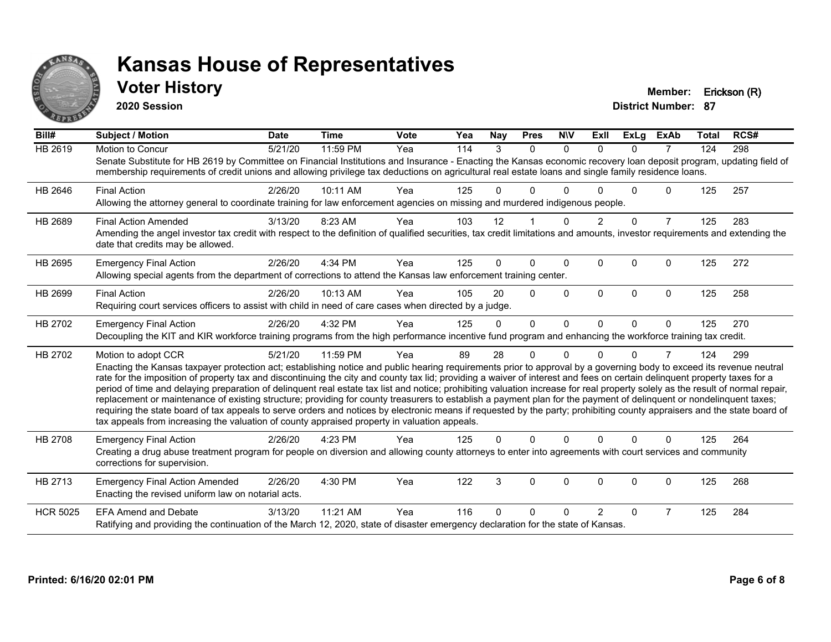

### **Voter History Member: Erickson (R)**

**2020 Session**

| Bill#           | Subject / Motion                                                                                                                                                                                                                                                                                                                                                                                                                                                                                                                                                                                                                                                                                                                                                                                                                                                                                                                                                                                              | <b>Date</b> | <b>Time</b> | Vote | Yea | <b>Nay</b> | <b>Pres</b> | <b>NIV</b> | ExII          | <b>ExLg</b> | <b>ExAb</b>    | <b>Total</b> | RCS# |
|-----------------|---------------------------------------------------------------------------------------------------------------------------------------------------------------------------------------------------------------------------------------------------------------------------------------------------------------------------------------------------------------------------------------------------------------------------------------------------------------------------------------------------------------------------------------------------------------------------------------------------------------------------------------------------------------------------------------------------------------------------------------------------------------------------------------------------------------------------------------------------------------------------------------------------------------------------------------------------------------------------------------------------------------|-------------|-------------|------|-----|------------|-------------|------------|---------------|-------------|----------------|--------------|------|
| <b>HB 2619</b>  | Motion to Concur<br>Senate Substitute for HB 2619 by Committee on Financial Institutions and Insurance - Enacting the Kansas economic recovery loan deposit program, updating field of<br>membership requirements of credit unions and allowing privilege tax deductions on agricultural real estate loans and single family residence loans.                                                                                                                                                                                                                                                                                                                                                                                                                                                                                                                                                                                                                                                                 | 5/21/20     | 11:59 PM    | Yea  | 114 | 3          | $\Omega$    | $\Omega$   | $\Omega$      | $\Omega$    | $\overline{7}$ | 124          | 298  |
| HB 2646         | <b>Final Action</b><br>Allowing the attorney general to coordinate training for law enforcement agencies on missing and murdered indigenous people.                                                                                                                                                                                                                                                                                                                                                                                                                                                                                                                                                                                                                                                                                                                                                                                                                                                           | 2/26/20     | 10:11 AM    | Yea  | 125 | 0          | 0           | ∩          |               | U           | 0              | 125          | 257  |
| HB 2689         | <b>Final Action Amended</b><br>Amending the angel investor tax credit with respect to the definition of qualified securities, tax credit limitations and amounts, investor requirements and extending the<br>date that credits may be allowed.                                                                                                                                                                                                                                                                                                                                                                                                                                                                                                                                                                                                                                                                                                                                                                | 3/13/20     | 8:23 AM     | Yea  | 103 | 12         |             | $\Omega$   | $\mathcal{P}$ | $\Omega$    | $\overline{7}$ | 125          | 283  |
| HB 2695         | <b>Emergency Final Action</b><br>Allowing special agents from the department of corrections to attend the Kansas law enforcement training center.                                                                                                                                                                                                                                                                                                                                                                                                                                                                                                                                                                                                                                                                                                                                                                                                                                                             | 2/26/20     | 4:34 PM     | Yea  | 125 | 0          | $\Omega$    | $\Omega$   | $\Omega$      | $\Omega$    | $\Omega$       | 125          | 272  |
| HB 2699         | <b>Final Action</b><br>Requiring court services officers to assist with child in need of care cases when directed by a judge.                                                                                                                                                                                                                                                                                                                                                                                                                                                                                                                                                                                                                                                                                                                                                                                                                                                                                 | 2/26/20     | 10:13 AM    | Yea  | 105 | 20         | 0           | $\Omega$   | $\Omega$      | $\Omega$    | $\Omega$       | 125          | 258  |
| HB 2702         | <b>Emergency Final Action</b><br>Decoupling the KIT and KIR workforce training programs from the high performance incentive fund program and enhancing the workforce training tax credit.                                                                                                                                                                                                                                                                                                                                                                                                                                                                                                                                                                                                                                                                                                                                                                                                                     | 2/26/20     | 4:32 PM     | Yea  | 125 | 0          | $\Omega$    | $\Omega$   | $\Omega$      | $\Omega$    | $\Omega$       | 125          | 270  |
| HB 2702         | Motion to adopt CCR<br>Enacting the Kansas taxpayer protection act; establishing notice and public hearing requirements prior to approval by a governing body to exceed its revenue neutral<br>rate for the imposition of property tax and discontinuing the city and county tax lid; providing a waiver of interest and fees on certain delinquent property taxes for a<br>period of time and delaying preparation of delinquent real estate tax list and notice; prohibiting valuation increase for real property solely as the result of normal repair,<br>replacement or maintenance of existing structure; providing for county treasurers to establish a payment plan for the payment of delinquent or nondelinquent taxes;<br>requiring the state board of tax appeals to serve orders and notices by electronic means if requested by the party; prohibiting county appraisers and the state board of<br>tax appeals from increasing the valuation of county appraised property in valuation appeals. | 5/21/20     | 11:59 PM    | Yea  | 89  | 28         | 0           | $\Omega$   |               | 0           | $\overline{7}$ | 124          | 299  |
| HB 2708         | <b>Emergency Final Action</b><br>Creating a drug abuse treatment program for people on diversion and allowing county attorneys to enter into agreements with court services and community<br>corrections for supervision.                                                                                                                                                                                                                                                                                                                                                                                                                                                                                                                                                                                                                                                                                                                                                                                     | 2/26/20     | 4:23 PM     | Yea  | 125 | 0          | $\Omega$    | $\Omega$   | $\Omega$      | $\Omega$    | $\Omega$       | 125          | 264  |
| HB 2713         | <b>Emergency Final Action Amended</b><br>Enacting the revised uniform law on notarial acts.                                                                                                                                                                                                                                                                                                                                                                                                                                                                                                                                                                                                                                                                                                                                                                                                                                                                                                                   | 2/26/20     | 4:30 PM     | Yea  | 122 | 3          | 0           | 0          | 0             | 0           | 0              | 125          | 268  |
| <b>HCR 5025</b> | <b>EFA Amend and Debate</b><br>Ratifying and providing the continuation of the March 12, 2020, state of disaster emergency declaration for the state of Kansas.                                                                                                                                                                                                                                                                                                                                                                                                                                                                                                                                                                                                                                                                                                                                                                                                                                               | 3/13/20     | 11:21 AM    | Yea  | 116 | 0          | 0           | ∩          | $\mathcal{P}$ | $\Omega$    | 7              | 125          | 284  |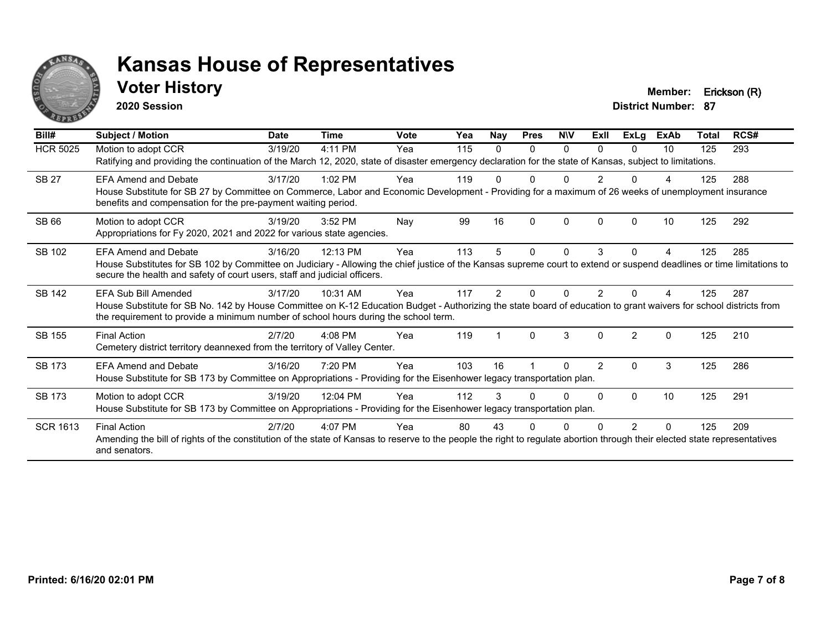

### **Voter History Member: Erickson (R)**

**2020 Session**

| Bill#           | Subject / Motion                                                                                                                                                                                                                                         | <b>Date</b> | <b>Time</b> | Vote | Yea | Nay | <b>Pres</b> | <b>NIV</b> | ExII          | ExLg           | <b>ExAb</b> | Total | RCS# |
|-----------------|----------------------------------------------------------------------------------------------------------------------------------------------------------------------------------------------------------------------------------------------------------|-------------|-------------|------|-----|-----|-------------|------------|---------------|----------------|-------------|-------|------|
| <b>HCR 5025</b> | Motion to adopt CCR                                                                                                                                                                                                                                      | 3/19/20     | 4:11 PM     | Yea  | 115 | 0   | $\Omega$    | $\Omega$   | $\Omega$      | $\Omega$       | 10          | 125   | 293  |
|                 | Ratifying and providing the continuation of the March 12, 2020, state of disaster emergency declaration for the state of Kansas, subject to limitations.                                                                                                 |             |             |      |     |     |             |            |               |                |             |       |      |
| <b>SB 27</b>    | FFA Amend and Debate                                                                                                                                                                                                                                     | 3/17/20     | $1:02$ PM   | Yea  | 119 |     |             |            | 2             |                |             | 125   | 288  |
|                 | House Substitute for SB 27 by Committee on Commerce, Labor and Economic Development - Providing for a maximum of 26 weeks of unemployment insurance<br>benefits and compensation for the pre-payment waiting period.                                     |             |             |      |     |     |             |            |               |                |             |       |      |
| <b>SB 66</b>    | Motion to adopt CCR                                                                                                                                                                                                                                      | 3/19/20     | 3:52 PM     | Nay  | 99  | 16  | $\Omega$    | $\Omega$   | $\Omega$      | O              | 10          | 125   | 292  |
|                 | Appropriations for Fy 2020, 2021 and 2022 for various state agencies.                                                                                                                                                                                    |             |             |      |     |     |             |            |               |                |             |       |      |
| SB 102          | <b>EFA Amend and Debate</b>                                                                                                                                                                                                                              | 3/16/20     | 12:13 PM    | Yea  | 113 | 5.  | 0           | $\Omega$   | 3             | 0              | 4           | 125   | 285  |
|                 | House Substitutes for SB 102 by Committee on Judiciary - Allowing the chief justice of the Kansas supreme court to extend or suspend deadlines or time limitations to<br>secure the health and safety of court users, staff and judicial officers.       |             |             |      |     |     |             |            |               |                |             |       |      |
| <b>SB 142</b>   | EFA Sub Bill Amended                                                                                                                                                                                                                                     | 3/17/20     | 10:31 AM    | Yea  | 117 | 2   | U           | ი          |               |                |             | 125   | 287  |
|                 | House Substitute for SB No. 142 by House Committee on K-12 Education Budget - Authorizing the state board of education to grant waivers for school districts from<br>the requirement to provide a minimum number of school hours during the school term. |             |             |      |     |     |             |            |               |                |             |       |      |
| SB 155          | <b>Final Action</b>                                                                                                                                                                                                                                      | 2/7/20      | $4:08$ PM   | Yea  | 119 |     | $\Omega$    | 3          | $\Omega$      | $\mathfrak{p}$ | $\Omega$    | 125   | 210  |
|                 | Cemetery district territory deannexed from the territory of Valley Center.                                                                                                                                                                               |             |             |      |     |     |             |            |               |                |             |       |      |
| SB 173          | <b>EFA Amend and Debate</b>                                                                                                                                                                                                                              | 3/16/20     | 7:20 PM     | Yea  | 103 | 16  |             | 0          | $\mathcal{P}$ | $\Omega$       | 3           | 125   | 286  |
|                 | House Substitute for SB 173 by Committee on Appropriations - Providing for the Eisenhower legacy transportation plan.                                                                                                                                    |             |             |      |     |     |             |            |               |                |             |       |      |
| SB 173          | Motion to adopt CCR                                                                                                                                                                                                                                      | 3/19/20     | 12:04 PM    | Yea  | 112 |     |             | 0          | $\Omega$      | $\Omega$       | 10          | 125   | 291  |
|                 | House Substitute for SB 173 by Committee on Appropriations - Providing for the Eisenhower legacy transportation plan.                                                                                                                                    |             |             |      |     |     |             |            |               |                |             |       |      |
| <b>SCR 1613</b> | <b>Final Action</b>                                                                                                                                                                                                                                      | 2/7/20      | $4:07$ PM   | Yea  | 80  | 43  |             |            |               | 2              | $\Omega$    | 125   | 209  |
|                 | Amending the bill of rights of the constitution of the state of Kansas to reserve to the people the right to regulate abortion through their elected state representatives<br>and senators.                                                              |             |             |      |     |     |             |            |               |                |             |       |      |